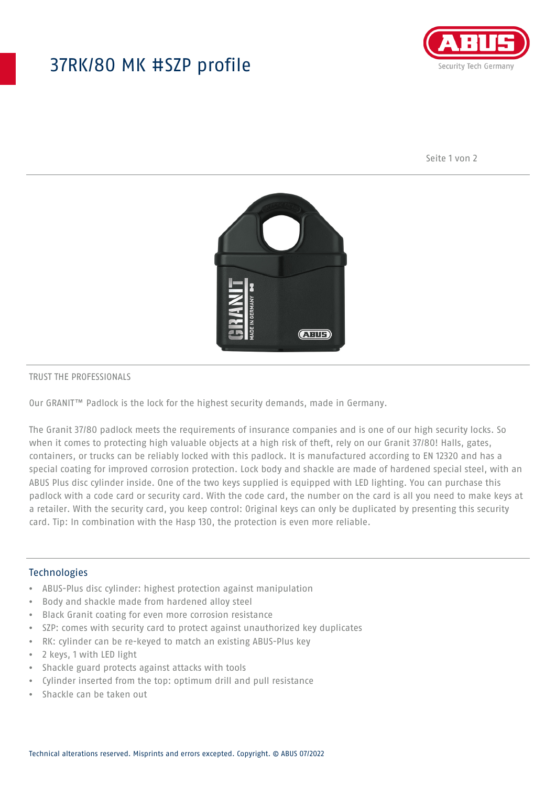## 37RK/80 MK #SZP profile



Seite 1 von 2



### TRUST THE PROFESSIONALS

Our GRANIT™ Padlock is the lock for the highest security demands, made in Germany.

The Granit 37/80 padlock meets the requirements of insurance companies and is one of our high security locks. So when it comes to protecting high valuable objects at a high risk of theft, rely on our Granit 37/80! Halls, gates, containers, or trucks can be reliably locked with this padlock. It is manufactured according to EN 12320 and has a special coating for improved corrosion protection. Lock body and shackle are made of hardened special steel, with an ABUS Plus disc cylinder inside. One of the two keys supplied is equipped with LED lighting. You can purchase this padlock with a code card or security card. With the code card, the number on the card is all you need to make keys at a retailer. With the security card, you keep control: Original keys can only be duplicated by presenting this security card. Tip: In combination with the Hasp 130, the protection is even more reliable.

## Technologies

- ABUS-Plus disc cylinder: highest protection against manipulation
- Body and shackle made from hardened alloy steel
- Black Granit coating for even more corrosion resistance
- SZP: comes with security card to protect against unauthorized key duplicates
- RK: cylinder can be re-keyed to match an existing ABUS-Plus key
- 2 keys, 1 with LED light
- Shackle guard protects against attacks with tools
- Cylinder inserted from the top: optimum drill and pull resistance
- Shackle can be taken out